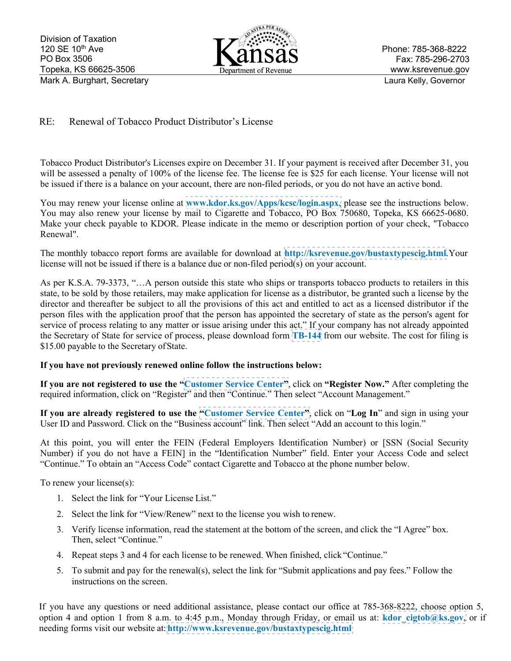

## RE: Renewal of Tobacco Product Distributor's License

Tobacco Product Distributor's Licenses expire on December 31. If your payment is received after December 31, you will be assessed a penalty of 100% of the license fee. The license fee is \$25 for each license. Your license will not be issued if there is a balance on your account, there are non-filed periods, or you do not have an active bond.

You may renew your license online at **[www.kdor.ks.gov/Apps/kcsc/login.aspx](https://www.kdor.ks.gov/Apps/kcsc/login.aspx)**, please see the instructions below. You may also renew your license by mail to Cigarette and Tobacco, PO Box 750680, Topeka, KS 66625-0680. Make your check payable to KDOR. Please indicate in the memo or description portion of your check, "Tobacco Renewal".

The monthly tobacco report forms are available for download at **http://ksrevenue.gov[/bustaxtypescig.html](http://ksrevenue.org/bustaxtypescig.html)**.Your license will not be issued if there is a balance due or non-filed period(s) on your account.

As per K.S.A. 79-3373, "…A person outside this state who ships or transports tobacco products to retailers in this state, to be sold by those retailers, may make application for license as a distributor, be granted such a license by the director and thereafter be subject to all the provisions of this act and entitled to act as a licensed distributor if the person files with the application proof that the person has appointed the secretary of state as the person's agent for service of process relating to any matter or issue arising under this act." If your company has not already appointed the Secretary of State for service of process, please download form **[TB-144](https://www.ksrevenue.org/pdf/tb144.pdf)** from our website. The cost for filing is \$15.00 payable to the Secretary of State.

## **If you have not previously renewed online follow the instructions below:**

**If you are not registered to use the "[Customer Service Center"](https://www.kdor.ks.gov/Apps/kcsc/login.aspx)**, click on **"Register Now."** After completing the required information, click on "Register" and then "Continue." Then select "Account Management."

**If you are already registered to use the ["Customer Service Center"](https://www.kdor.ks.gov/Apps/kcsc/login.aspx)**, click on "**Log In**" and sign in using your User ID and Password. Click on the "Business account" link. Then select "Add an account to this login."

At this point, you will enter the FEIN (Federal Employers Identification Number) or [SSN (Social Security Number) if you do not have a FEIN] in the "Identification Number" field. Enter your Access Code and select "Continue." To obtain an "Access Code" contact Cigarette and Tobacco at the phone number below.

To renew your license(s):

- 1. Select the link for "Your License List."
- 2. Select the link for "View/Renew" next to the license you wish to renew.
- 3. Verify license information, read the statement at the bottom of the screen, and click the "I Agree" box. Then, select "Continue."
- 4. Repeat steps 3 and 4 for each license to be renewed. When finished, click "Continue."
- 5. To submit and pay for the renewal(s), select the link for "Submit applications and pay fees." Follow the instructions on the screen.

If you have any questions or need additional assistance, please contact our office at 785-368-8222, choose option 5, option 4 and option 1 from 8 a.m. to 4:45 p.m., Monday through Friday, or email us at: **kdor** cigtob@ks.gov, or if needing forms visit our website at: **[http://www.ksrevenue.](http://www.ksrevenue.org/bustaxtypescig.html)gov/bustaxtypescig.html**